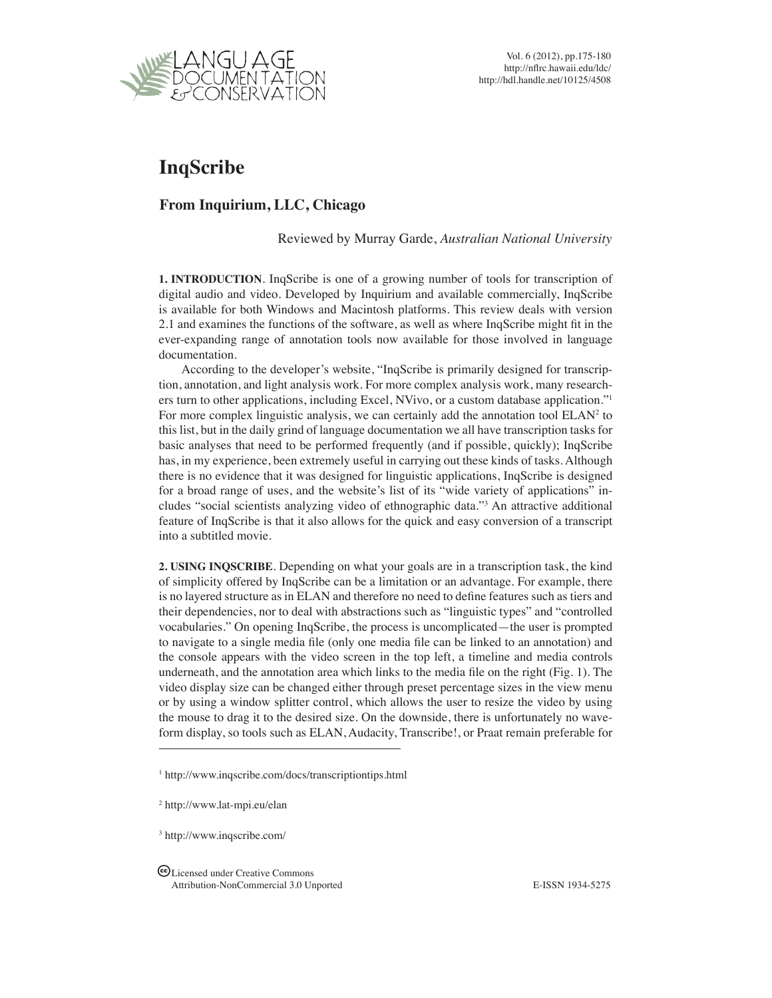

# **InqScribe**

# **From Inquirium, LLC, Chicago**

Reviewed by Murray Garde, *Australian National University*

**1. INTRODUCTION**. InqScribe is one of a growing number of tools for transcription of digital audio and video. Developed by Inquirium and available commercially, InqScribe is available for both Windows and Macintosh platforms. This review deals with version 2.1 and examines the functions of the software, as well as where InqScribe might fit in the ever-expanding range of annotation tools now available for those involved in language documentation.

According to the developer's website, "InqScribe is primarily designed for transcription, annotation, and light analysis work. For more complex analysis work, many researchers turn to other applications, including Excel, NVivo, or a custom database application."<sup>1</sup> For more complex linguistic analysis, we can certainly add the annotation tool  $ELAN<sup>2</sup>$  to this list, but in the daily grind of language documentation we all have transcription tasks for basic analyses that need to be performed frequently (and if possible, quickly); InqScribe has, in my experience, been extremely useful in carrying out these kinds of tasks. Although there is no evidence that it was designed for linguistic applications, InqScribe is designed for a broad range of uses, and the website's list of its "wide variety of applications" includes "social scientists analyzing video of ethnographic data."3 An attractive additional feature of InqScribe is that it also allows for the quick and easy conversion of a transcript into a subtitled movie.

**2. USING InqScribe**. Depending on what your goals are in a transcription task, the kind of simplicity offered by InqScribe can be a limitation or an advantage. For example, there is no layered structure as in ELAN and therefore no need to define features such as tiers and their dependencies, nor to deal with abstractions such as "linguistic types" and "controlled vocabularies." On opening InqScribe, the process is uncomplicated—the user is prompted to navigate to a single media file (only one media file can be linked to an annotation) and the console appears with the video screen in the top left, a timeline and media controls underneath, and the annotation area which links to the media file on the right (Fig. 1). The video display size can be changed either through preset percentage sizes in the view menu or by using a window splitter control, which allows the user to resize the video by using the mouse to drag it to the desired size. On the downside, there is unfortunately no waveform display, so tools such as ELAN, Audacity, Transcribe!, or Praat remain preferable for

3 http://www.inqscribe.com/

Licensed under Creative Commons Attribution-NonCommercial 3.0 Unported E-ISSN 1934-5275

<sup>1</sup> http://www.inqscribe.com/docs/transcriptiontips.html

<sup>2</sup> http://www.lat-mpi.eu/elan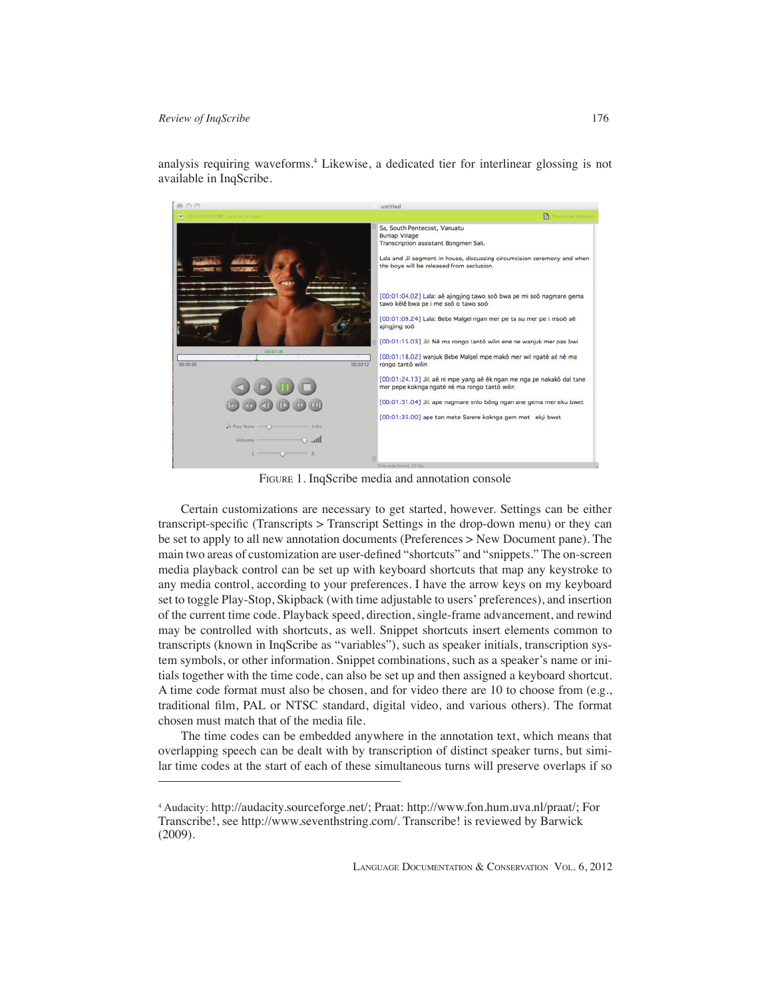analysis requiring waveforms.<sup>4</sup> Likewise, a dedicated tier for interlinear glossing is not available in InqScribe.



Figure 1. InqScribe media and annotation console

Certain customizations are necessary to get started, however. Settings can be either transcript-specific (Transcripts > Transcript Settings in the drop-down menu) or they can be set to apply to all new annotation documents (Preferences > New Document pane). The main two areas of customization are user-defined "shortcuts" and "snippets." The on-screen media playback control can be set up with keyboard shortcuts that map any keystroke to any media control, according to your preferences. I have the arrow keys on my keyboard set to toggle Play-Stop, Skipback (with time adjustable to users' preferences), and insertion of the current time code. Playback speed, direction, single-frame advancement, and rewind may be controlled with shortcuts, as well. Snippet shortcuts insert elements common to transcripts (known in InqScribe as "variables"), such as speaker initials, transcription system symbols, or other information. Snippet combinations, such as a speaker's name or initials together with the time code, can also be set up and then assigned a keyboard shortcut. A time code format must also be chosen, and for video there are 10 to choose from (e.g., traditional film, PAL or NTSC standard, digital video, and various others). The format chosen must match that of the media file.

The time codes can be embedded anywhere in the annotation text, which means that overlapping speech can be dealt with by transcription of distinct speaker turns, but similar time codes at the start of each of these simultaneous turns will preserve overlaps if so

<sup>4</sup> Audacity: http://audacity.sourceforge.net/; Praat: http://www.fon.hum.uva.nl/praat/; For Transcribe!, see http://www.seventhstring.com/. Transcribe! is reviewed by Barwick (2009).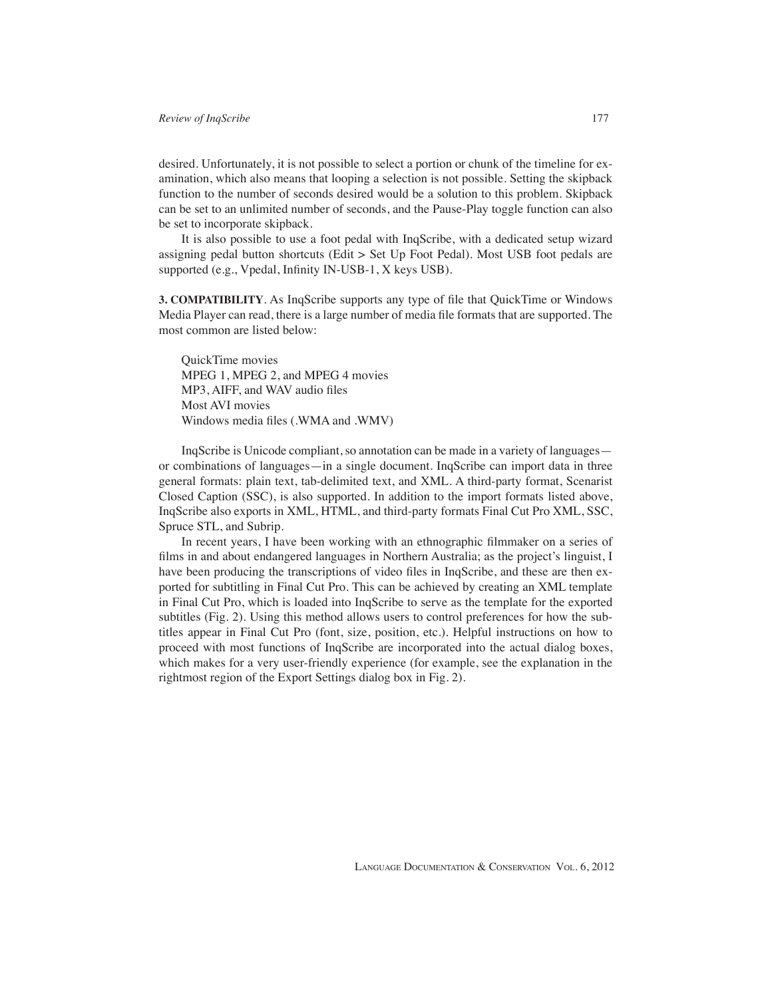desired. Unfortunately, it is not possible to select a portion or chunk of the timeline for examination, which also means that looping a selection is not possible. Setting the skipback function to the number of seconds desired would be a solution to this problem. Skipback can be set to an unlimited number of seconds, and the Pause-Play toggle function can also be set to incorporate skipback.

It is also possible to use a foot pedal with InqScribe, with a dedicated setup wizard assigning pedal button shortcuts (Edit > Set Up Foot Pedal). Most USB foot pedals are supported (e.g., Vpedal, Infinity IN-USB-1, X keys USB).

**3. COMPATIBILITY**. As InqScribe supports any type of file that QuickTime or Windows Media Player can read, there is a large number of media file formats that are supported. The most common are listed below:

QuickTime movies MPEG 1, MPEG 2, and MPEG 4 movies MP3, AIFF, and WAV audio files Most AVI movies Windows media files (.WMA and .WMV)

InqScribe is Unicode compliant, so annotation can be made in a variety of languages or combinations of languages—in a single document. InqScribe can import data in three general formats: plain text, tab-delimited text, and XML. A third-party format, Scenarist Closed Caption (SSC), is also supported. In addition to the import formats listed above, InqScribe also exports in XML, HTML, and third-party formats Final Cut Pro XML, SSC, Spruce STL, and Subrip.

In recent years, I have been working with an ethnographic filmmaker on a series of films in and about endangered languages in Northern Australia; as the project's linguist, I have been producing the transcriptions of video files in InqScribe, and these are then exported for subtitling in Final Cut Pro. This can be achieved by creating an XML template in Final Cut Pro, which is loaded into InqScribe to serve as the template for the exported subtitles (Fig. 2). Using this method allows users to control preferences for how the subtitles appear in Final Cut Pro (font, size, position, etc.). Helpful instructions on how to proceed with most functions of InqScribe are incorporated into the actual dialog boxes, which makes for a very user-friendly experience (for example, see the explanation in the rightmost region of the Export Settings dialog box in Fig. 2).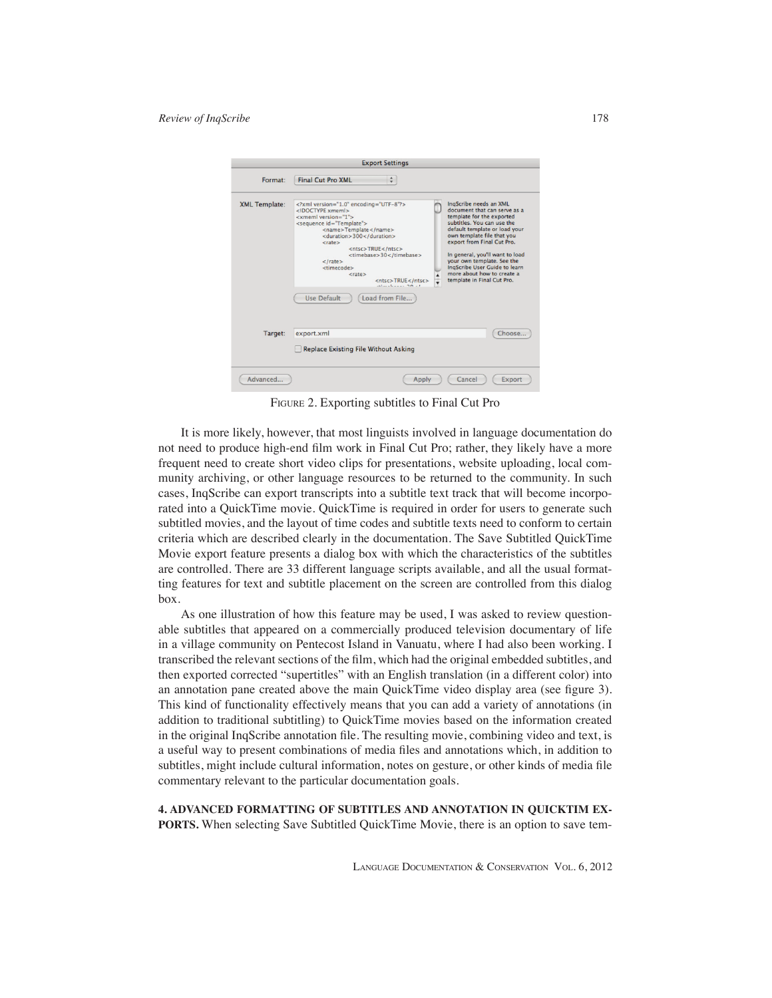| <b>Export Settings</b> |                                                                                                                                                                                                                                                                                                                                                                                                                                                                                                                                                                                                                                                                                                                                                                                                                                                                                                                                    |  |
|------------------------|------------------------------------------------------------------------------------------------------------------------------------------------------------------------------------------------------------------------------------------------------------------------------------------------------------------------------------------------------------------------------------------------------------------------------------------------------------------------------------------------------------------------------------------------------------------------------------------------------------------------------------------------------------------------------------------------------------------------------------------------------------------------------------------------------------------------------------------------------------------------------------------------------------------------------------|--|
| Format:                | Final Cut Pro XML                                                                                                                                                                                                                                                                                                                                                                                                                                                                                                                                                                                                                                                                                                                                                                                                                                                                                                                  |  |
| <b>XML Template:</b>   | IngScribe needs an XML<br>xml version="1.0" encoding="UTF-8"?<br>document that can serve as a<br>xmeml<br>template for the exported<br><xmeml version="1"><br/>subtitles. You can use the<br/><sequence id="Template"><br/>default template or load your<br/><name>Template</name><br/>own template file that you<br/><duration>300</duration><br/>export from Final Cut Pro.<br/><math>&lt;</math>rate<math>&gt;</math><br/><ntsc>TRUE</ntsc><br/>In general, you'll want to load<br/><timebase>30</timebase><br/>your own template. See the<br/><math>\langle</math>/rate&gt;<br/><b>IngScribe User Guide to learn</b><br/><timecode><br/>more about how to create a<br/><math>&lt;</math>rate<math>&gt;</math><br/>template in Final Cut Pro.<br/><ntsc>TRUE</ntsc><br/><math>m_1</math> and <math>m_2</math> are <math>m_1</math> and <math>m_2</math><br/><b>Use Default</b><br/>Load from File</timecode></sequence></xmeml> |  |
| Target:                | Choose<br>export.xml<br><b>Replace Existing File Without Asking</b>                                                                                                                                                                                                                                                                                                                                                                                                                                                                                                                                                                                                                                                                                                                                                                                                                                                                |  |
| Advanced               | Apply<br>Cancel<br>Export                                                                                                                                                                                                                                                                                                                                                                                                                                                                                                                                                                                                                                                                                                                                                                                                                                                                                                          |  |

Figure 2. Exporting subtitles to Final Cut Pro

It is more likely, however, that most linguists involved in language documentation do not need to produce high-end film work in Final Cut Pro; rather, they likely have a more frequent need to create short video clips for presentations, website uploading, local community archiving, or other language resources to be returned to the community. In such cases, InqScribe can export transcripts into a subtitle text track that will become incorporated into a QuickTime movie. QuickTime is required in order for users to generate such subtitled movies, and the layout of time codes and subtitle texts need to conform to certain criteria which are described clearly in the documentation. The Save Subtitled QuickTime Movie export feature presents a dialog box with which the characteristics of the subtitles are controlled. There are 33 different language scripts available, and all the usual formatting features for text and subtitle placement on the screen are controlled from this dialog box.

As one illustration of how this feature may be used, I was asked to review questionable subtitles that appeared on a commercially produced television documentary of life in a village community on Pentecost Island in Vanuatu, where I had also been working. I transcribed the relevant sections of the film, which had the original embedded subtitles, and then exported corrected "supertitles" with an English translation (in a different color) into an annotation pane created above the main QuickTime video display area (see figure 3). This kind of functionality effectively means that you can add a variety of annotations (in addition to traditional subtitling) to QuickTime movies based on the information created in the original InqScribe annotation file. The resulting movie, combining video and text, is a useful way to present combinations of media files and annotations which, in addition to subtitles, might include cultural information, notes on gesture, or other kinds of media file commentary relevant to the particular documentation goals.

**4. ADVANCED FORMATTING OF SUBTITLES AND ANNOTATION IN QuickTim EX-PORTS.** When selecting Save Subtitled QuickTime Movie, there is an option to save tem-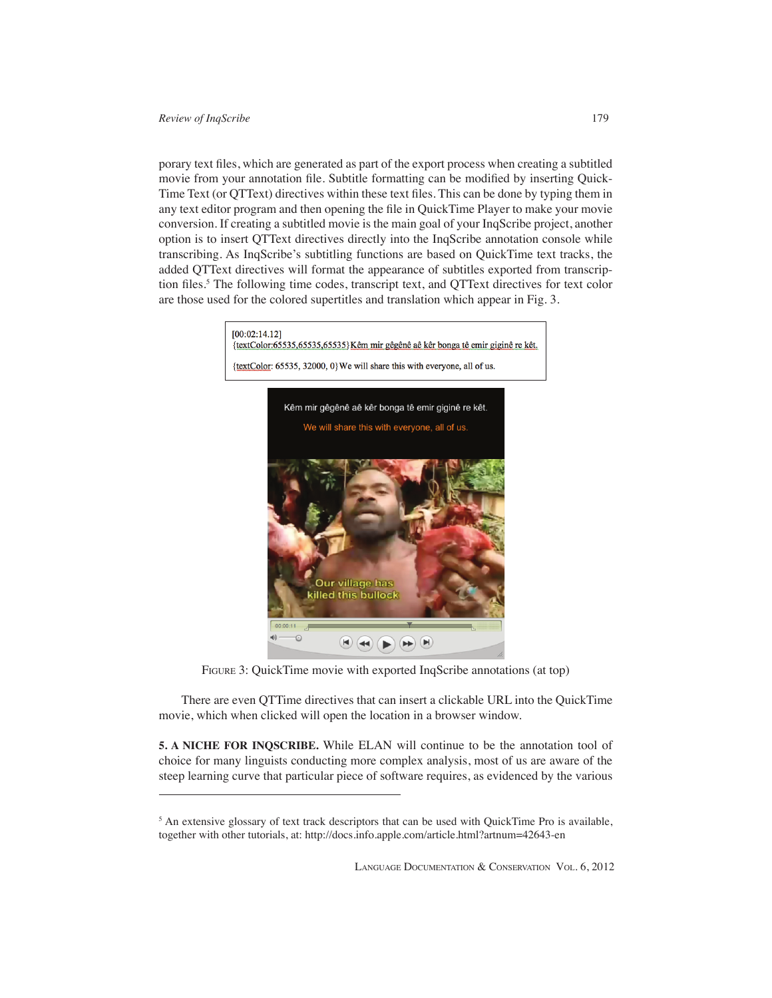porary text files, which are generated as part of the export process when creating a subtitled movie from your annotation file. Subtitle formatting can be modified by inserting Quick-Time Text (or QTText) directives within these text files. This can be done by typing them in any text editor program and then opening the file in QuickTime Player to make your movie conversion. If creating a subtitled movie is the main goal of your InqScribe project, another option is to insert QTText directives directly into the InqScribe annotation console while transcribing. As InqScribe's subtitling functions are based on QuickTime text tracks, the added QTText directives will format the appearance of subtitles exported from transcription files.<sup>5</sup> The following time codes, transcript text, and QTText directives for text color are those used for the colored supertitles and translation which appear in Fig. 3.



Figure 3: QuickTime movie with exported InqScribe annotations (at top)

There are even QTTime directives that can insert a clickable URL into the QuickTime movie, which when clicked will open the location in a browser window.

**5. A NICHE FOR InqScribe.** While ELAN will continue to be the annotation tool of choice for many linguists conducting more complex analysis, most of us are aware of the steep learning curve that particular piece of software requires, as evidenced by the various

<sup>&</sup>lt;sup>5</sup> An extensive glossary of text track descriptors that can be used with QuickTime Pro is available, together with other tutorials, at: http://docs.info.apple.com/article.html?artnum=42643-en